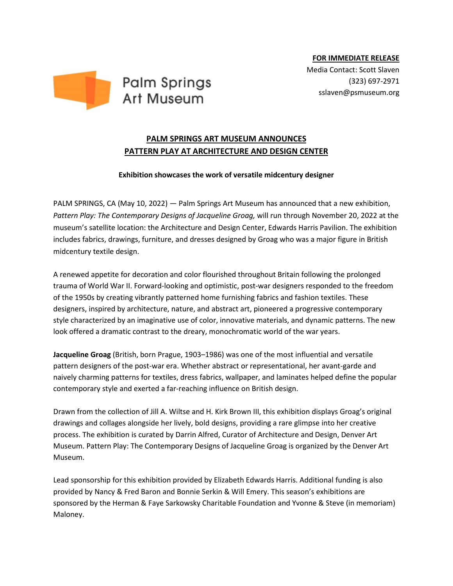

**FOR IMMEDIATE RELEASE**

Media Contact: Scott Slaven (323) 697-2971 sslaven@psmuseum.org

## **PALM SPRINGS ART MUSEUM ANNOUNCES PATTERN PLAY AT ARCHITECTURE AND DESIGN CENTER**

## **Exhibition showcases the work of versatile midcentury designer**

PALM SPRINGS, CA (May 10, 2022) — Palm Springs Art Museum has announced that a new exhibition, Pattern Play: The Contemporary Designs of Jacqueline Groag, will run through November 20, 2022 at the museum's satellite location: the Architecture and Design Center, Edwards Harris Pavilion. The exhibition includes fabrics, drawings, furniture, and dresses designed by Groag who was a major figure in British midcentury textile design.

A renewed appetite for decoration and color flourished throughout Britain following the prolonged trauma of World War II. Forward-looking and optimistic, post-war designers responded to the freedom of the 1950s by creating vibrantly patterned home furnishing fabrics and fashion textiles. These designers, inspired by architecture, nature, and abstract art, pioneered a progressive contemporary style characterized by an imaginative use of color, innovative materials, and dynamic patterns. The new look offered a dramatic contrast to the dreary, monochromatic world of the war years.

**Jacqueline Groag** (British, born Prague, 1903–1986) was one of the most influential and versatile pattern designers of the post-war era. Whether abstract or representational, her avant-garde and naively charming patterns for textiles, dress fabrics, wallpaper, and laminates helped define the popular contemporary style and exerted a far-reaching influence on British design.

Drawn from the collection of Jill A. Wiltse and H. Kirk Brown III, this exhibition displays Groag's original drawings and collages alongside her lively, bold designs, providing a rare glimpse into her creative process. The exhibition is curated by Darrin Alfred, Curator of Architecture and Design, Denver Art Museum. Pattern Play: The Contemporary Designs of Jacqueline Groag is organized by the Denver Art Museum.

Lead sponsorship for this exhibition provided by Elizabeth Edwards Harris. Additional funding is also provided by Nancy & Fred Baron and Bonnie Serkin & Will Emery. This season's exhibitions are sponsored by the Herman & Faye Sarkowsky Charitable Foundation and Yvonne & Steve (in memoriam) Maloney.